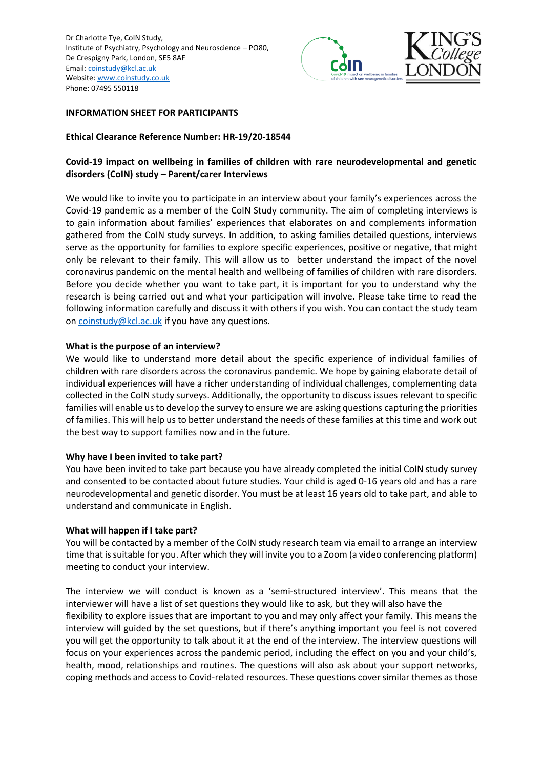

## **INFORMATION SHEET FOR PARTICIPANTS**

## **Ethical Clearance Reference Number: HR-19/20-18544**

# **Covid-19 impact on wellbeing in families of children with rare neurodevelopmental and genetic disorders (CoIN) study – Parent/carer Interviews**

We would like to invite you to participate in an interview about your family's experiences across the Covid-19 pandemic as a member of the CoIN Study community. The aim of completing interviews is to gain information about families' experiences that elaborates on and complements information gathered from the CoIN study surveys. In addition, to asking families detailed questions, interviews serve as the opportunity for families to explore specific experiences, positive or negative, that might only be relevant to their family. This will allow us to better understand the impact of the novel coronavirus pandemic on the mental health and wellbeing of families of children with rare disorders. Before you decide whether you want to take part, it is important for you to understand why the research is being carried out and what your participation will involve. Please take time to read the following information carefully and discuss it with others if you wish. You can contact the study team on [coinstudy@kcl.ac.uk](mailto:coinstudy@kcl.ac.uk) if you have any questions.

## **What is the purpose of an interview?**

We would like to understand more detail about the specific experience of individual families of children with rare disorders across the coronavirus pandemic. We hope by gaining elaborate detail of individual experiences will have a richer understanding of individual challenges, complementing data collected in the CoIN study surveys. Additionally, the opportunity to discuss issues relevant to specific families will enable us to develop the survey to ensure we are asking questions capturing the priorities of families. This will help us to better understand the needs of these families at this time and work out the best way to support families now and in the future.

## **Why have I been invited to take part?**

You have been invited to take part because you have already completed the initial CoIN study survey and consented to be contacted about future studies. Your child is aged 0-16 years old and has a rare neurodevelopmental and genetic disorder. You must be at least 16 years old to take part, and able to understand and communicate in English.

#### **What will happen if I take part?**

You will be contacted by a member of the CoIN study research team via email to arrange an interview time that is suitable for you. After which they will invite you to a Zoom (a video conferencing platform) meeting to conduct your interview.

The interview we will conduct is known as a 'semi-structured interview'. This means that the interviewer will have a list of set questions they would like to ask, but they will also have the flexibility to explore issues that are important to you and may only affect your family. This means the interview will guided by the set questions, but if there's anything important you feel is not covered you will get the opportunity to talk about it at the end of the interview. The interview questions will focus on your experiences across the pandemic period, including the effect on you and your child's, health, mood, relationships and routines. The questions will also ask about your support networks, coping methods and access to Covid-related resources. These questions cover similar themes as those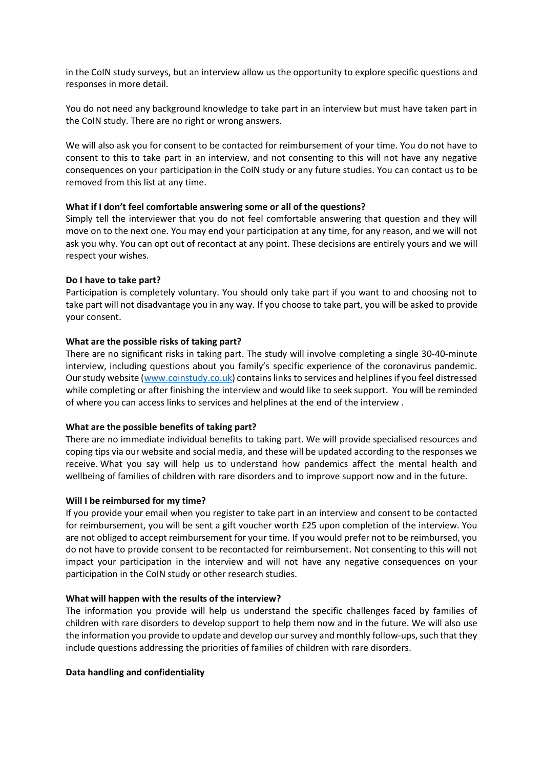in the CoIN study surveys, but an interview allow us the opportunity to explore specific questions and responses in more detail.

You do not need any background knowledge to take part in an interview but must have taken part in the CoIN study. There are no right or wrong answers.

We will also ask you for consent to be contacted for reimbursement of your time. You do not have to consent to this to take part in an interview, and not consenting to this will not have any negative consequences on your participation in the CoIN study or any future studies. You can contact us to be removed from this list at any time.

## **What if I don't feel comfortable answering some or all of the questions?**

Simply tell the interviewer that you do not feel comfortable answering that question and they will move on to the next one. You may end your participation at any time, for any reason, and we will not ask you why. You can opt out of recontact at any point. These decisions are entirely yours and we will respect your wishes.

### **Do I have to take part?**

Participation is completely voluntary. You should only take part if you want to and choosing not to take part will not disadvantage you in any way. If you choose to take part, you will be asked to provide your consent.

### **What are the possible risks of taking part?**

There are no significant risks in taking part. The study will involve completing a single 30-40-minute interview, including questions about you family's specific experience of the coronavirus pandemic. Our study website [\(www.coinstudy.co.uk\)](http://www.coinstudy.co.uk/) contains links to services and helplines if you feel distressed while completing or after finishing the interview and would like to seek support. You will be reminded of where you can access links to services and helplines at the end of the interview .

#### **What are the possible benefits of taking part?**

There are no immediate individual benefits to taking part. We will provide specialised resources and coping tips via our website and social media, and these will be updated according to the responses we receive. What you say will help us to understand how pandemics affect the mental health and wellbeing of families of children with rare disorders and to improve support now and in the future.

#### **Will I be reimbursed for my time?**

If you provide your email when you register to take part in an interview and consent to be contacted for reimbursement, you will be sent a gift voucher worth £25 upon completion of the interview. You are not obliged to accept reimbursement for your time. If you would prefer not to be reimbursed, you do not have to provide consent to be recontacted for reimbursement. Not consenting to this will not impact your participation in the interview and will not have any negative consequences on your participation in the CoIN study or other research studies.

#### **What will happen with the results of the interview?**

The information you provide will help us understand the specific challenges faced by families of children with rare disorders to develop support to help them now and in the future. We will also use the information you provide to update and develop our survey and monthly follow-ups, such that they include questions addressing the priorities of families of children with rare disorders.

## **Data handling and confidentiality**